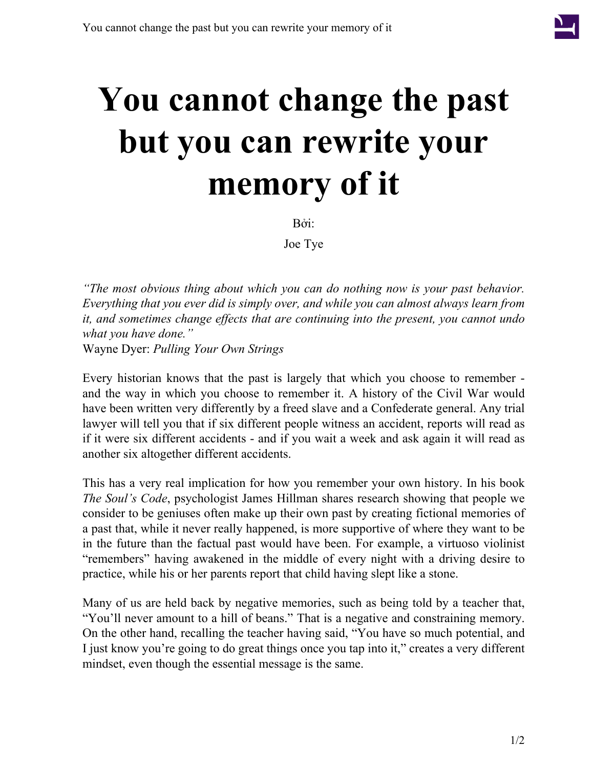

## **You cannot change the past but you can rewrite your memory of it**

Bởi:

Joe Tye

*"The most obvious thing about which you can do nothing now is your past behavior. Everything that you ever did is simply over, and while you can almost always learn from it, and sometimes change effects that are continuing into the present, you cannot undo what you have done."* Wayne Dyer: *Pulling Your Own Strings*

Every historian knows that the past is largely that which you choose to remember and the way in which you choose to remember it. A history of the Civil War would have been written very differently by a freed slave and a Confederate general. Any trial lawyer will tell you that if six different people witness an accident, reports will read as if it were six different accidents - and if you wait a week and ask again it will read as another six altogether different accidents.

This has a very real implication for how you remember your own history. In his book *The Soul's Code*, psychologist James Hillman shares research showing that people we consider to be geniuses often make up their own past by creating fictional memories of a past that, while it never really happened, is more supportive of where they want to be in the future than the factual past would have been. For example, a virtuoso violinist "remembers" having awakened in the middle of every night with a driving desire to practice, while his or her parents report that child having slept like a stone.

Many of us are held back by negative memories, such as being told by a teacher that, "You'll never amount to a hill of beans." That is a negative and constraining memory. On the other hand, recalling the teacher having said, "You have so much potential, and I just know you're going to do great things once you tap into it," creates a very different mindset, even though the essential message is the same.